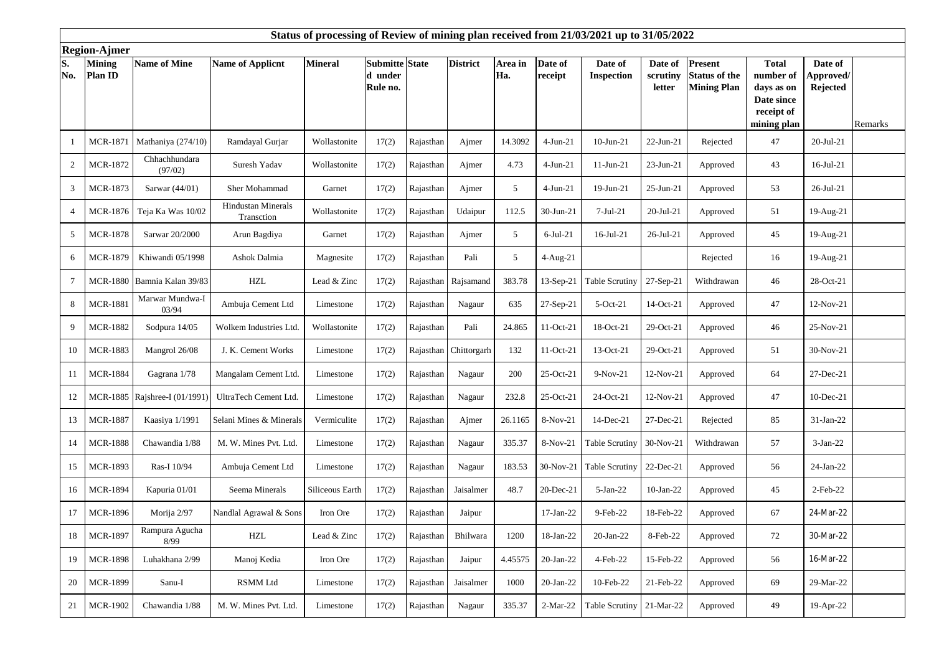| Status of processing of Review of mining plan received from 21/03/2021 up to 31/05/2022 |                          |                               |                                         |                 |                                       |           |                       |                |                    |                              |                               |                                                       |                                                                                    |                                  |         |
|-----------------------------------------------------------------------------------------|--------------------------|-------------------------------|-----------------------------------------|-----------------|---------------------------------------|-----------|-----------------------|----------------|--------------------|------------------------------|-------------------------------|-------------------------------------------------------|------------------------------------------------------------------------------------|----------------------------------|---------|
| <b>Region-Ajmer</b>                                                                     |                          |                               |                                         |                 |                                       |           |                       |                |                    |                              |                               |                                                       |                                                                                    |                                  |         |
| S.<br>No.                                                                               | <b>Mining</b><br>Plan ID | <b>Name of Mine</b>           | <b>Name of Applicnt</b>                 | <b>Mineral</b>  | Submitte State<br>d under<br>Rule no. |           | <b>District</b>       | Area in<br>Ha. | Date of<br>receipt | Date of<br><b>Inspection</b> | Date of<br>scrutiny<br>letter | Present<br><b>Status of the</b><br><b>Mining Plan</b> | <b>Total</b><br>number of<br>days as on<br>Date since<br>receipt of<br>mining plan | Date of<br>Approved/<br>Rejected | Remarks |
| -1                                                                                      | MCR-1871                 | Mathaniya (274/10)            | Ramdayal Gurjar                         | Wollastonite    | 17(2)                                 | Rajasthan | Ajmer                 | 14.3092        | $4$ -Jun-21        | $10$ -Jun-21                 | $22-Jun-21$                   | Rejected                                              | 47                                                                                 | $20-Jul-21$                      |         |
| $\overline{2}$                                                                          | <b>MCR-1872</b>          | Chhachhundara<br>(97/02)      | Suresh Yadav                            | Wollastonite    | 17(2)                                 | Rajasthan | Ajmer                 | 4.73           | $4-Jun-21$         | $11-Jun-21$                  | 23-Jun-21                     | Approved                                              | 43                                                                                 | $16$ -Jul-21                     |         |
| 3                                                                                       | MCR-1873                 | Sarwar $(44/01)$              | Sher Mohammad                           | Garnet          | 17(2)                                 | Rajasthan | Ajmer                 | 5              | $4-Jun-21$         | 19-Jun-21                    | 25-Jun-21                     | Approved                                              | 53                                                                                 | 26-Jul-21                        |         |
| $\overline{4}$                                                                          | MCR-1876                 | Teja Ka Was 10/02             | <b>Hindustan Minerals</b><br>Transction | Wollastonite    | 17(2)                                 | Rajasthan | Udaipur               | 112.5          | 30-Jun-21          | $7-Jul-21$                   | 20-Jul-21                     | Approved                                              | 51                                                                                 | 19-Aug-21                        |         |
| 5                                                                                       | <b>MCR-1878</b>          | Sarwar 20/2000                | Arun Bagdiya                            | Garnet          | 17(2)                                 | Rajasthan | Ajmer                 | 5              | $6$ -Jul-21        | 16-Jul-21                    | 26-Jul-21                     | Approved                                              | 45                                                                                 | 19-Aug-21                        |         |
| 6                                                                                       | <b>MCR-1879</b>          | Khiwandi 05/1998              | Ashok Dalmia                            | Magnesite       | 17(2)                                 | Rajasthan | Pali                  | 5              | 4-Aug-21           |                              |                               | Rejected                                              | 16                                                                                 | 19-Aug-21                        |         |
| $\overline{7}$                                                                          | <b>MCR-1880</b>          | Bamnia Kalan 39/83            | $\ensuremath{\mathrm{HZL}}$             | Lead & Zinc     | 17(2)                                 |           | Rajasthan Rajsamand   | 383.78         | $13-Sep-21$        | Table Scrutiny               | 27-Sep-21                     | Withdrawan                                            | 46                                                                                 | 28-Oct-21                        |         |
| 8                                                                                       | <b>MCR-1881</b>          | Marwar Mundwa-I<br>03/94      | Ambuja Cement Ltd                       | Limestone       | 17(2)                                 | Rajasthan | Nagaur                | 635            | 27-Sep-21          | 5-Oct-21                     | 14-Oct-21                     | Approved                                              | 47                                                                                 | 12-Nov-21                        |         |
| 9                                                                                       | <b>MCR-1882</b>          | Sodpura 14/05                 | Wolkem Industries Ltd                   | Wollastonite    | 17(2)                                 | Rajasthan | Pali                  | 24.865         | $11-Oct-21$        | 18-Oct-21                    | 29-Oct-21                     | Approved                                              | 46                                                                                 | 25-Nov-21                        |         |
| 10                                                                                      | <b>MCR-1883</b>          | Mangrol 26/08                 | J. K. Cement Works                      | Limestone       | 17(2)                                 |           | Rajasthan Chittorgarh | 132            | 11-Oct-21          | 13-Oct-21                    | 29-Oct-21                     | Approved                                              | 51                                                                                 | 30-Nov-21                        |         |
| 11                                                                                      | <b>MCR-1884</b>          | Gagrana 1/78                  | Mangalam Cement Ltd.                    | Limestone       | 17(2)                                 | Rajasthan | Nagaur                | 200            | 25-Oct-21          | 9-Nov-21                     | 12-Nov-21                     | Approved                                              | 64                                                                                 | 27-Dec-21                        |         |
| 12                                                                                      |                          | MCR-1885 Rajshree-I (01/1991) | UltraTech Cement Ltd.                   | Limestone       | 17(2)                                 | Rajasthan | Nagaur                | 232.8          | 25-Oct-21          | 24-Oct-21                    | 12-Nov-21                     | Approved                                              | 47                                                                                 | 10-Dec-21                        |         |
| 13                                                                                      | <b>MCR-1887</b>          | Kaasiya 1/1991                | Selani Mines & Minerals                 | Vermiculite     | 17(2)                                 | Rajasthan | Ajmer                 | 26.1165        | 8-Nov-21           | 14-Dec-21                    | 27-Dec-21                     | Rejected                                              | 85                                                                                 | 31-Jan-22                        |         |
| 14                                                                                      | <b>MCR-1888</b>          | Chawandia 1/88                | M. W. Mines Pvt. Ltd.                   | Limestone       | 17(2)                                 | Rajasthan | Nagaur                | 335.37         | 8-Nov-21           | Table Scrutiny               | 30-Nov-21                     | Withdrawan                                            | 57                                                                                 | $3-Jan-22$                       |         |
| 15                                                                                      | <b>MCR-1893</b>          | Ras-I 10/94                   | Ambuja Cement Ltd                       | Limestone       | 17(2)                                 | Rajasthan | Nagaur                | 183.53         | 30-Nov-21          | <b>Table Scrutiny</b>        | 22-Dec-21                     | Approved                                              | 56                                                                                 | $24-Jan-22$                      |         |
| 16                                                                                      | <b>MCR-1894</b>          | Kapuria 01/01                 | Seema Minerals                          | Siliceous Earth | 17(2)                                 | Rajasthan | Jaisalmer             | 48.7           | 20-Dec-21          | 5-Jan-22                     | $10-Jan-22$                   | Approved                                              | 45                                                                                 | $2$ -Feb-22                      |         |
| 17                                                                                      | <b>MCR-1896</b>          | Morija 2/97                   | Nandlal Agrawal & Sons                  | Iron Ore        | 17(2)                                 | Rajasthan | Jaipur                |                | 17-Jan-22          | 9-Feb-22                     | 18-Feb-22                     | Approved                                              | 67                                                                                 | 24-Mar-22                        |         |
| 18                                                                                      | <b>MCR-1897</b>          | Rampura Agucha<br>8/99        | $\operatorname{HZL}$                    | Lead & Zinc     | 17(2)                                 | Rajasthan | Bhilwara              | 1200           | 18-Jan-22          | 20-Jan-22                    | 8-Feb-22                      | Approved                                              | 72                                                                                 | 30-Mar-22                        |         |
| 19                                                                                      | <b>MCR-1898</b>          | Luhakhana 2/99                | Manoj Kedia                             | Iron Ore        | 17(2)                                 | Rajasthan | Jaipur                | 4.45575        | $20$ -Jan-22       | 4-Feb-22                     | 15-Feb-22                     | Approved                                              | 56                                                                                 | 16-Mar-22                        |         |
| 20                                                                                      | <b>MCR-1899</b>          | Sanu-I                        | <b>RSMM Ltd</b>                         | Limestone       | 17(2)                                 | Rajasthan | Jaisalmer             | 1000           | $20$ -Jan-22       | 10-Feb-22                    | 21-Feb-22                     | Approved                                              | 69                                                                                 | 29-Mar-22                        |         |
| 21                                                                                      | <b>MCR-1902</b>          | Chawandia 1/88                | M. W. Mines Pvt. Ltd.                   | Limestone       | 17(2)                                 | Rajasthan | Nagaur                | 335.37         | $2-Mar-22$         | Table Scrutiny 21-Mar-22     |                               | Approved                                              | 49                                                                                 | 19-Apr-22                        |         |